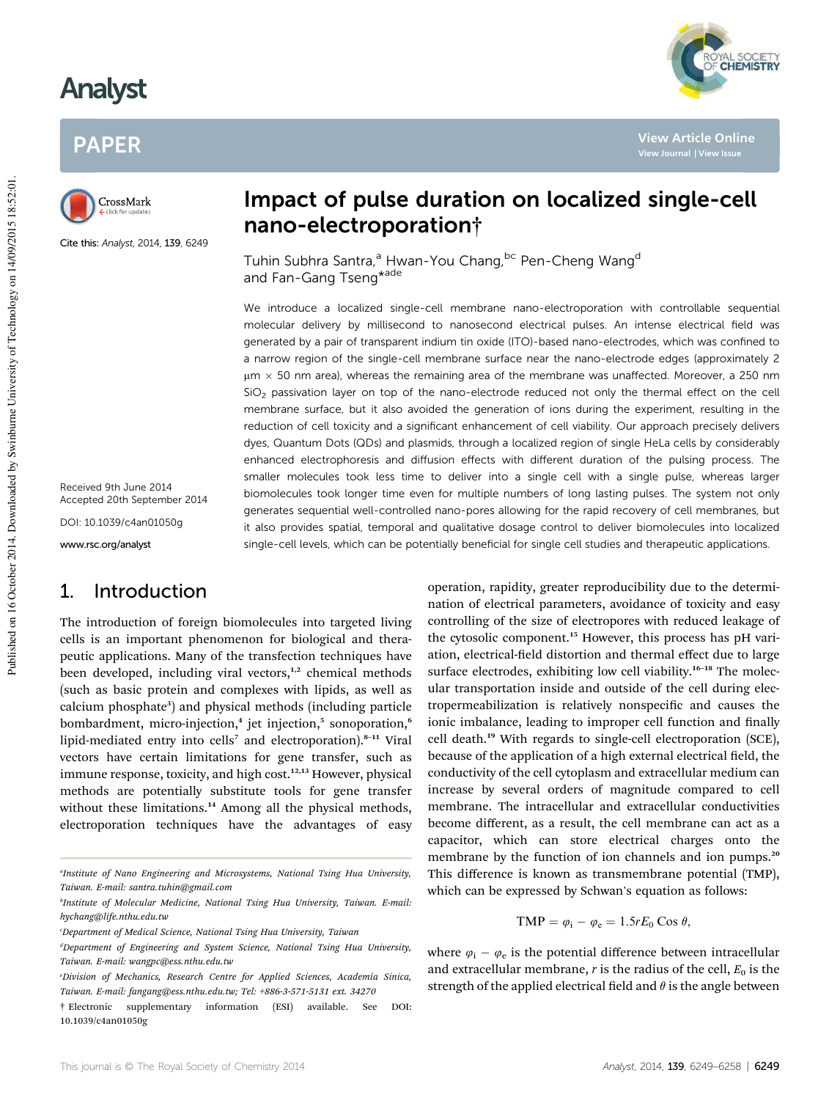# Analyst

# PAPER



Cite this: Analyst, 2014, 139, 6249

Received 9th June 2014 Accepted 20th September 2014

DOI: 10.1039/c4an01050g

www.rsc.org/analyst

### 1. Introduction

The introduction of foreign biomolecules into targeted living cells is an important phenomenon for biological and therapeutic applications. Many of the transfection techniques have been developed, including viral vectors, $1,2$  chemical methods (such as basic protein and complexes with lipids, as well as calcium phosphate<sup>3</sup>) and physical methods (including particle bombardment, micro-injection,<sup>4</sup> jet injection,<sup>5</sup> sonoporation,<sup>6</sup> lipid-mediated entry into cells<sup>7</sup> and electroporation).<sup>8-11</sup> Viral vectors have certain limitations for gene transfer, such as immune response, toxicity, and high cost.<sup>12,13</sup> However, physical methods are potentially substitute tools for gene transfer without these limitations.<sup>14</sup> Among all the physical methods, electroporation techniques have the advantages of easy

# Impact of pulse duration on localized single-cell nano-electroporation†

Tuhin Subhra Santra,<sup>a</sup> Hwan-You Chang, bc Pen-Cheng Wang<sup>d</sup> and Fan-Gang Tseng<sup>\*ade</sup>

We introduce a localized single-cell membrane nano-electroporation with controllable sequential molecular delivery by millisecond to nanosecond electrical pulses. An intense electrical field was generated by a pair of transparent indium tin oxide (ITO)-based nano-electrodes, which was confined to a narrow region of the single-cell membrane surface near the nano-electrode edges (approximately 2  $\mu$ m  $\times$  50 nm area), whereas the remaining area of the membrane was unaffected. Moreover, a 250 nm  $SiO<sub>2</sub>$  passivation layer on top of the nano-electrode reduced not only the thermal effect on the cell membrane surface, but it also avoided the generation of ions during the experiment, resulting in the reduction of cell toxicity and a significant enhancement of cell viability. Our approach precisely delivers dyes, Quantum Dots (QDs) and plasmids, through a localized region of single HeLa cells by considerably enhanced electrophoresis and diffusion effects with different duration of the pulsing process. The smaller molecules took less time to deliver into a single cell with a single pulse, whereas larger biomolecules took longer time even for multiple numbers of long lasting pulses. The system not only generates sequential well-controlled nano-pores allowing for the rapid recovery of cell membranes, but it also provides spatial, temporal and qualitative dosage control to deliver biomolecules into localized single-cell levels, which can be potentially beneficial for single cell studies and therapeutic applications.

> operation, rapidity, greater reproducibility due to the determination of electrical parameters, avoidance of toxicity and easy controlling of the size of electropores with reduced leakage of the cytosolic component.<sup>15</sup> However, this process has pH variation, electrical-field distortion and thermal effect due to large surface electrodes, exhibiting low cell viability.<sup>16-18</sup> The molecular transportation inside and outside of the cell during electropermeabilization is relatively nonspecific and causes the ionic imbalance, leading to improper cell function and finally cell death.<sup>19</sup> With regards to single-cell electroporation (SCE), because of the application of a high external electrical field, the conductivity of the cell cytoplasm and extracellular medium can increase by several orders of magnitude compared to cell membrane. The intracellular and extracellular conductivities become different, as a result, the cell membrane can act as a capacitor, which can store electrical charges onto the membrane by the function of ion channels and ion pumps.<sup>20</sup> This difference is known as transmembrane potential (TMP), which can be expressed by Schwan's equation as follows:

$$
TMP = \varphi_i - \varphi_e = 1.5rE_0 \cos \theta,
$$

where  $\varphi_i - \varphi_e$  is the potential difference between intracellular and extracellular membrane,  $r$  is the radius of the cell,  $E_0$  is the strength of the applied electrical field and  $\theta$  is the angle between



**View Article Online**

*a Institute of Nano Engineering and Microsystems, National Tsing Hua University, Taiwan. E-mail: santra.tuhin@gmail.com*

*b Institute of Molecular Medicine, National Tsing Hua University, Taiwan. E-mail: hychang@life.nthu.edu.tw*

*<sup>c</sup>Department of Medical Science, National Tsing Hua University, Taiwan*

*<sup>d</sup>Department of Engineering and System Science, National Tsing Hua University, Taiwan. E-mail: wangpc@ess.nthu.edu.tw*

*<sup>e</sup>Division of Mechanics, Research Centre for Applied Sciences, Academia Sinica, Taiwan. E-mail: fangang@ess.nthu.edu.tw; Tel: +886-3-571-5131 ext. 34270*

<sup>†</sup> Electronic supplementary information (ESI) available. See DOI: 10.1039/c4an01050g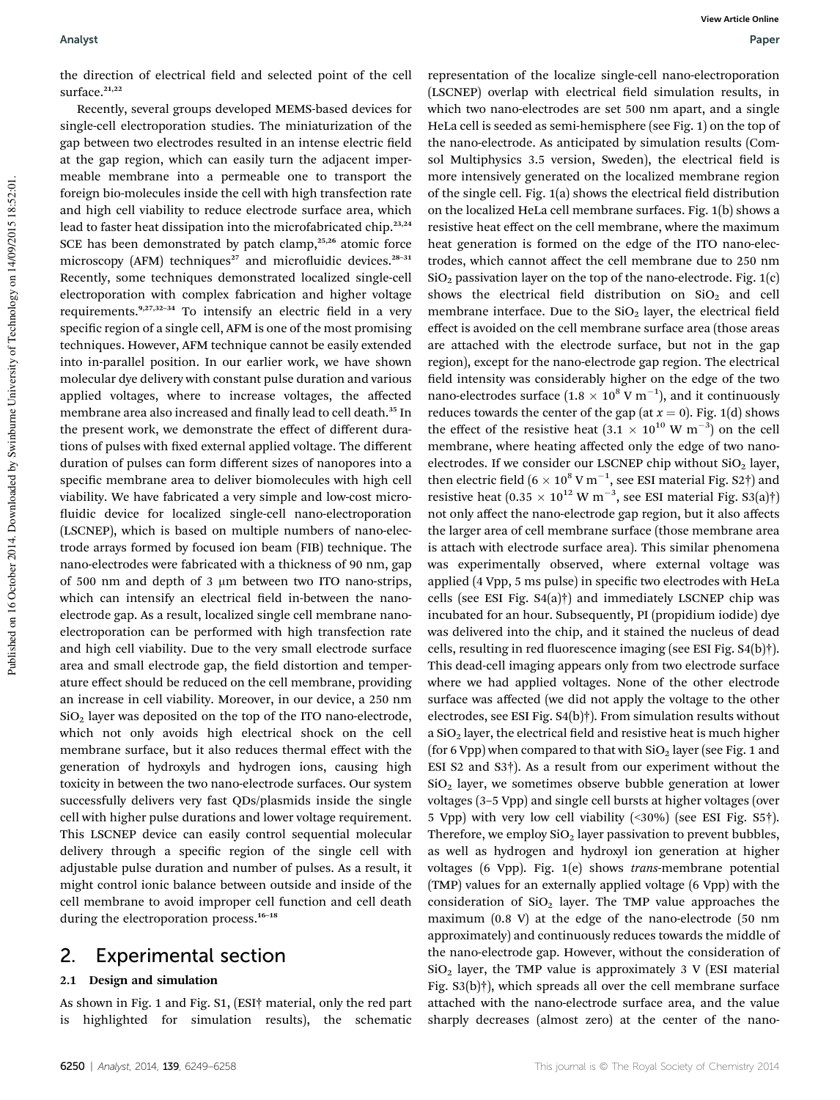the direction of electrical field and selected point of the cell surface. $21,22$ 

Recently, several groups developed MEMS-based devices for single-cell electroporation studies. The miniaturization of the gap between two electrodes resulted in an intense electric field at the gap region, which can easily turn the adjacent impermeable membrane into a permeable one to transport the foreign bio-molecules inside the cell with high transfection rate and high cell viability to reduce electrode surface area, which lead to faster heat dissipation into the microfabricated chip.<sup>23,24</sup> SCE has been demonstrated by patch clamp, $25,26$  atomic force microscopy (AFM) techniques<sup>27</sup> and microfluidic devices.<sup>28-31</sup> Recently, some techniques demonstrated localized single-cell electroporation with complex fabrication and higher voltage requirements. $9,27,32-34$  To intensify an electric field in a very specific region of a single cell, AFM is one of the most promising techniques. However, AFM technique cannot be easily extended into in-parallel position. In our earlier work, we have shown molecular dye delivery with constant pulse duration and various applied voltages, where to increase voltages, the affected membrane area also increased and finally lead to cell death.<sup>35</sup> In the present work, we demonstrate the effect of different durations of pulses with fixed external applied voltage. The different duration of pulses can form different sizes of nanopores into a specific membrane area to deliver biomolecules with high cell viability. We have fabricated a very simple and low-cost micro fluidic device for localized single-cell nano-electroporation (LSCNEP), which is based on multiple numbers of nano-electrode arrays formed by focused ion beam (FIB) technique. The nano-electrodes were fabricated with a thickness of 90 nm, gap of 500 nm and depth of 3  $\mu$ m between two ITO nano-strips, which can intensify an electrical field in-between the nanoelectrode gap. As a result, localized single cell membrane nanoelectroporation can be performed with high transfection rate and high cell viability. Due to the very small electrode surface area and small electrode gap, the field distortion and temperature effect should be reduced on the cell membrane, providing an increase in cell viability. Moreover, in our device, a 250 nm  $SiO<sub>2</sub>$  layer was deposited on the top of the ITO nano-electrode, which not only avoids high electrical shock on the cell membrane surface, but it also reduces thermal effect with the generation of hydroxyls and hydrogen ions, causing high toxicity in between the two nano-electrode surfaces. Our system successfully delivers very fast QDs/plasmids inside the single cell with higher pulse durations and lower voltage requirement. This LSCNEP device can easily control sequential molecular delivery through a specific region of the single cell with adjustable pulse duration and number of pulses. As a result, it might control ionic balance between outside and inside of the cell membrane to avoid improper cell function and cell death during the electroporation process.<sup>16-18</sup>

### 2. Experimental section

#### 2.1 Design and simulation

As shown in Fig. 1 and Fig. S1, (ESI† material, only the red part is highlighted for simulation results), the schematic

representation of the localize single-cell nano-electroporation (LSCNEP) overlap with electrical field simulation results, in which two nano-electrodes are set 500 nm apart, and a single HeLa cell is seeded as semi-hemisphere (see Fig. 1) on the top of the nano-electrode. As anticipated by simulation results (Comsol Multiphysics 3.5 version, Sweden), the electrical field is more intensively generated on the localized membrane region of the single cell. Fig.  $1(a)$  shows the electrical field distribution on the localized HeLa cell membrane surfaces. Fig. 1(b) shows a resistive heat effect on the cell membrane, where the maximum heat generation is formed on the edge of the ITO nano-electrodes, which cannot affect the cell membrane due to 250 nm  $SiO<sub>2</sub>$  passivation layer on the top of the nano-electrode. Fig. 1(c) shows the electrical field distribution on  $SiO<sub>2</sub>$  and cell membrane interface. Due to the  $SiO<sub>2</sub>$  layer, the electrical field effect is avoided on the cell membrane surface area (those areas are attached with the electrode surface, but not in the gap region), except for the nano-electrode gap region. The electrical field intensity was considerably higher on the edge of the two nano-electrodes surface  $(1.8 \times 10^8 \text{ V m}^{-1})$ , and it continuously reduces towards the center of the gap (at  $x = 0$ ). Fig. 1(d) shows the effect of the resistive heat  $(3.1 \times 10^{10} \text{ W m}^{-3})$  on the cell membrane, where heating affected only the edge of two nanoelectrodes. If we consider our LSCNEP chip without  $SiO<sub>2</sub>$  layer, then electric field  $(6 \times 10^8 \text{ V m}^{-1})$ , see ESI material Fig. S2 $\dagger$ ) and resistive heat  $(0.35 \times 10^{12} \text{ W m}^{-3}$ , see ESI material Fig. S3(a)†) not only affect the nano-electrode gap region, but it also affects the larger area of cell membrane surface (those membrane area is attach with electrode surface area). This similar phenomena was experimentally observed, where external voltage was applied (4 Vpp, 5 ms pulse) in specific two electrodes with HeLa cells (see ESI Fig. S4(a)†) and immediately LSCNEP chip was incubated for an hour. Subsequently, PI (propidium iodide) dye was delivered into the chip, and it stained the nucleus of dead cells, resulting in red fluorescence imaging (see ESI Fig. S4(b)†). This dead-cell imaging appears only from two electrode surface where we had applied voltages. None of the other electrode surface was affected (we did not apply the voltage to the other electrodes, see ESI Fig. S4(b)†). From simulation results without a  $SiO<sub>2</sub>$  layer, the electrical field and resistive heat is much higher (for 6 Vpp) when compared to that with  $SiO<sub>2</sub>$  layer (see Fig. 1 and ESI S2 and S3†). As a result from our experiment without the  $SiO<sub>2</sub>$  layer, we sometimes observe bubble generation at lower voltages (3–5 Vpp) and single cell bursts at higher voltages (over 5 Vpp) with very low cell viability (<30%) (see ESI Fig. S5†). Therefore, we employ  $SiO<sub>2</sub>$  layer passivation to prevent bubbles, as well as hydrogen and hydroxyl ion generation at higher voltages (6 Vpp). Fig. 1(e) shows *trans*-membrane potential (TMP) values for an externally applied voltage (6 Vpp) with the consideration of  $SiO<sub>2</sub>$  layer. The TMP value approaches the maximum (0.8 V) at the edge of the nano-electrode (50 nm approximately) and continuously reduces towards the middle of the nano-electrode gap. However, without the consideration of  $SiO<sub>2</sub>$  layer, the TMP value is approximately 3 V (ESI material Fig. S3(b)†), which spreads all over the cell membrane surface attached with the nano-electrode surface area, and the value sharply decreases (almost zero) at the center of the nano-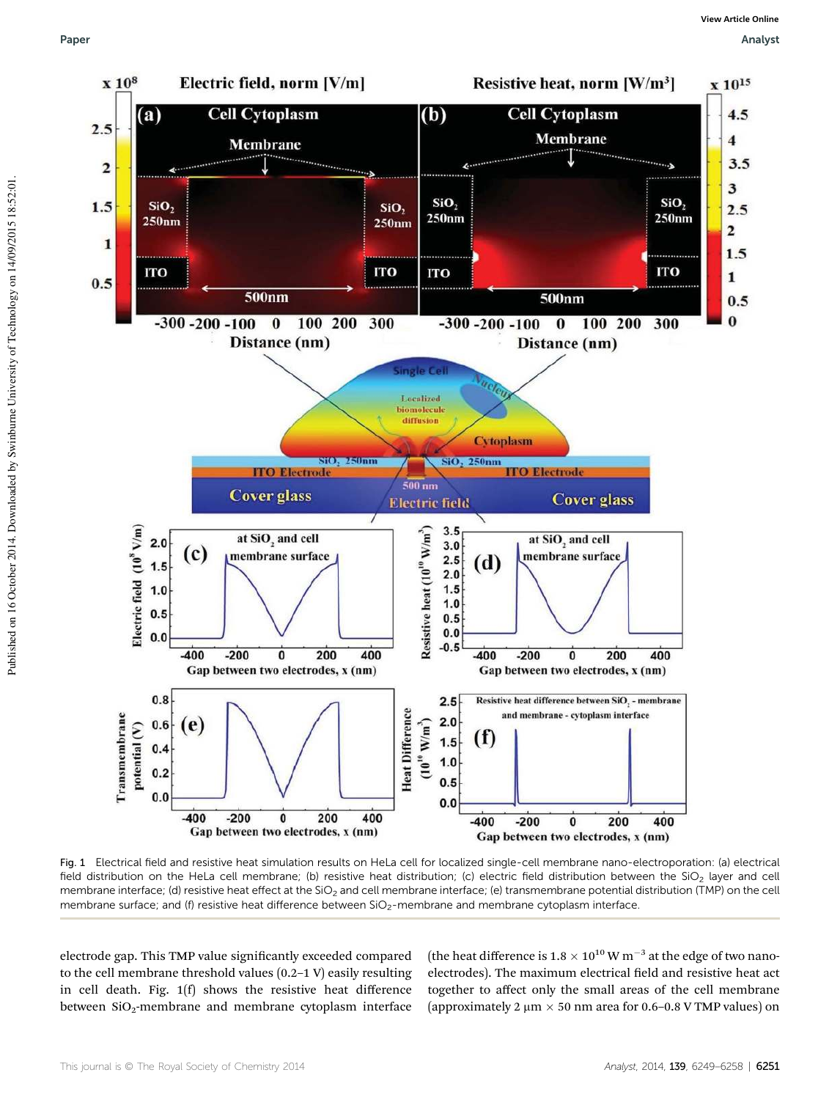

Fig. 1 Electrical field and resistive heat simulation results on HeLa cell for localized single-cell membrane nano-electroporation: (a) electrical field distribution on the HeLa cell membrane; (b) resistive heat distribution; (c) electric field distribution between the  $SiO<sub>2</sub>$  layer and cell membrane interface; (d) resistive heat effect at the SiO<sub>2</sub> and cell membrane interface; (e) transmembrane potential distribution (TMP) on the cell membrane surface; and (f) resistive heat difference between SiO<sub>2</sub>-membrane and membrane cytoplasm interface

electrode gap. This TMP value significantly exceeded compared to the cell membrane threshold values (0.2–1 V) easily resulting in cell death. Fig. 1(f) shows the resistive heat difference between  $SiO<sub>2</sub>$ -membrane and membrane cytoplasm interface

(the heat difference is  $1.8 \times 10^{10}$  W m<sup>-3</sup> at the edge of two nanoelectrodes). The maximum electrical field and resistive heat act together to affect only the small areas of the cell membrane (approximately 2  $\mu$ m  $\times$  50 nm area for 0.6–0.8 V TMP values) on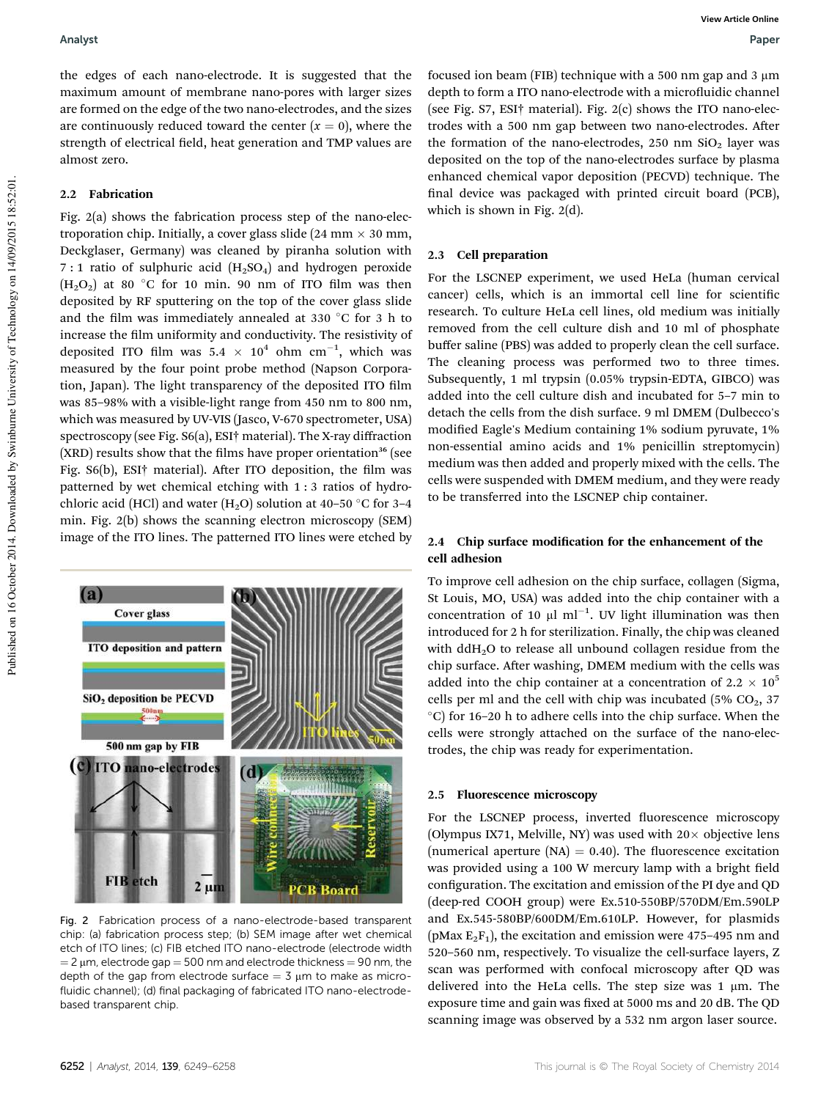the edges of each nano-electrode. It is suggested that the maximum amount of membrane nano-pores with larger sizes are formed on the edge of the two nano-electrodes, and the sizes are continuously reduced toward the center  $(x = 0)$ , where the strength of electrical field, heat generation and TMP values are almost zero.

#### 2.2 Fabrication

Fig. 2(a) shows the fabrication process step of the nano-electroporation chip. Initially, a cover glass slide (24 mm  $\times$  30 mm, Deckglaser, Germany) was cleaned by piranha solution with 7 : 1 ratio of sulphuric acid  $(H_2SO_4)$  and hydrogen peroxide  $(H<sub>2</sub>O<sub>2</sub>)$  at 80 °C for 10 min. 90 nm of ITO film was then deposited by RF sputtering on the top of the cover glass slide and the film was immediately annealed at 330  $\degree$ C for 3 h to increase the film uniformity and conductivity. The resistivity of deposited ITO film was  $5.4 \times 10^4$  ohm cm<sup>-1</sup>, which was measured by the four point probe method (Napson Corporation, Japan). The light transparency of the deposited ITO film was 85–98% with a visible-light range from 450 nm to 800 nm, which was measured by UV-VIS (Jasco, V-670 spectrometer, USA) spectroscopy (see Fig. S6(a), ESI† material). The X-ray diffraction  $(XRD)$  results show that the films have proper orientation<sup>36</sup> (see Fig. S6(b), ESI† material). After ITO deposition, the film was patterned by wet chemical etching with 1 : 3 ratios of hydrochloric acid (HCl) and water (H<sub>2</sub>O) solution at 40–50 °C for 3–4 min. Fig. 2(b) shows the scanning electron microscopy (SEM) image of the ITO lines. The patterned ITO lines were etched by



Fig. 2 Fabrication process of a nano-electrode-based transparent chip: (a) fabrication process step; (b) SEM image after wet chemical etch of ITO lines; (c) FIB etched ITO nano-electrode (electrode width  $=$  2  $\mu$ m, electrode gap  $=$  500 nm and electrode thickness  $=$  90 nm, the depth of the gap from electrode surface  $=$  3  $\mu$ m to make as microfluidic channel); (d) final packaging of fabricated ITO nano-electrodebased transparent chip.

focused ion beam (FIB) technique with a 500 nm gap and 3  $\mu$ m depth to form a ITO nano-electrode with a microfluidic channel (see Fig. S7, ESI† material). Fig. 2(c) shows the ITO nano-electrodes with a 500 nm gap between two nano-electrodes. After the formation of the nano-electrodes, 250 nm  $SiO<sub>2</sub>$  layer was deposited on the top of the nano-electrodes surface by plasma enhanced chemical vapor deposition (PECVD) technique. The final device was packaged with printed circuit board (PCB), which is shown in Fig. 2(d).

#### 2.3 Cell preparation

For the LSCNEP experiment, we used HeLa (human cervical cancer) cells, which is an immortal cell line for scientific research. To culture HeLa cell lines, old medium was initially removed from the cell culture dish and 10 ml of phosphate buffer saline (PBS) was added to properly clean the cell surface. The cleaning process was performed two to three times. Subsequently, 1 ml trypsin (0.05% trypsin-EDTA, GIBCO) was added into the cell culture dish and incubated for 5–7 min to detach the cells from the dish surface. 9 ml DMEM (Dulbecco's modified Eagle's Medium containing 1% sodium pyruvate, 1% non-essential amino acids and 1% penicillin streptomycin) medium was then added and properly mixed with the cells. The cells were suspended with DMEM medium, and they were ready to be transferred into the LSCNEP chip container.

#### 2.4 Chip surface modification for the enhancement of the cell adhesion

To improve cell adhesion on the chip surface, collagen (Sigma, St Louis, MO, USA) was added into the chip container with a concentration of 10  $\mu$ l ml<sup>-1</sup>. UV light illumination was then introduced for 2 h for sterilization. Finally, the chip was cleaned with ddH<sub>2</sub>O to release all unbound collagen residue from the chip surface. After washing, DMEM medium with the cells was added into the chip container at a concentration of 2.2  $\times$  10<sup>5</sup> cells per ml and the cell with chip was incubated (5%  $CO<sub>2</sub>$ , 37)  $^{\circ}$ C) for 16–20 h to adhere cells into the chip surface. When the cells were strongly attached on the surface of the nano-electrodes, the chip was ready for experimentation.

#### 2.5 Fluorescence microscopy

For the LSCNEP process, inverted fluorescence microscopy (Olympus IX71, Melville, NY) was used with  $20 \times$  objective lens (numerical aperture (NA) = 0.40). The fluorescence excitation was provided using a 100 W mercury lamp with a bright field configuration. The excitation and emission of the PI dye and QD (deep-red COOH group) were Ex.510-550BP/570DM/Em.590LP and Ex.545-580BP/600DM/Em.610LP. However, for plasmids ( $p$ Max  $E_2F_1$ ), the excitation and emission were 475–495 nm and 520–560 nm, respectively. To visualize the cell-surface layers, Z scan was performed with confocal microscopy after QD was delivered into the HeLa cells. The step size was  $1 \mu m$ . The exposure time and gain was fixed at 5000 ms and 20 dB. The QD scanning image was observed by a 532 nm argon laser source.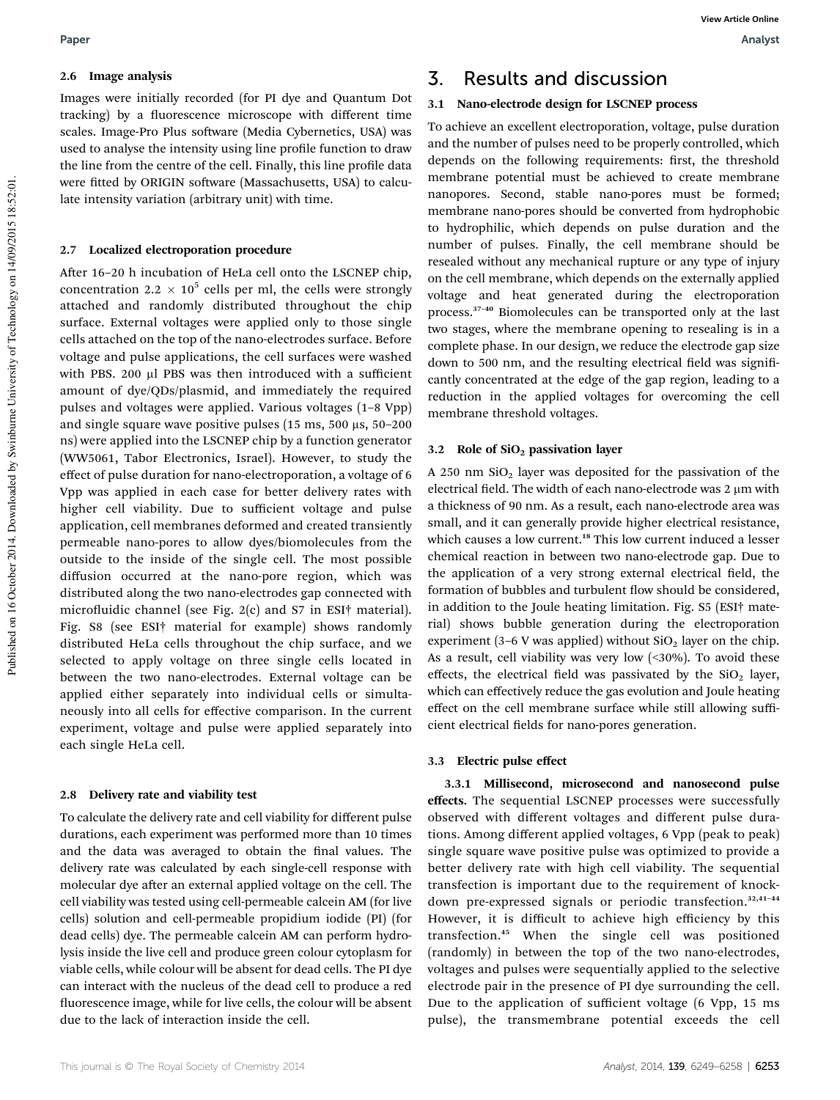#### 2.6 Image analysis

Images were initially recorded (for PI dye and Quantum Dot tracking) by a fluorescence microscope with different time scales. Image-Pro Plus software (Media Cybernetics, USA) was used to analyse the intensity using line profile function to draw the line from the centre of the cell. Finally, this line profile data were fitted by ORIGIN software (Massachusetts, USA) to calculate intensity variation (arbitrary unit) with time.

#### 2.7 Localized electroporation procedure

After 16–20 h incubation of HeLa cell onto the LSCNEP chip, concentration 2.2  $\times$  10<sup>5</sup> cells per ml, the cells were strongly attached and randomly distributed throughout the chip surface. External voltages were applied only to those single cells attached on the top of the nano-electrodes surface. Before voltage and pulse applications, the cell surfaces were washed with PBS. 200 µl PBS was then introduced with a sufficient amount of dye/QDs/plasmid, and immediately the required pulses and voltages were applied. Various voltages (1–8 Vpp) and single square wave positive pulses (15 ms, 500  $\mu$ s, 50–200 ns) were applied into the LSCNEP chip by a function generator (WW5061, Tabor Electronics, Israel). However, to study the effect of pulse duration for nano-electroporation, a voltage of 6 Vpp was applied in each case for better delivery rates with higher cell viability. Due to sufficient voltage and pulse application, cell membranes deformed and created transiently permeable nano-pores to allow dyes/biomolecules from the outside to the inside of the single cell. The most possible diffusion occurred at the nano-pore region, which was distributed along the two nano-electrodes gap connected with microfluidic channel (see Fig. 2(c) and S7 in ESI<sup>†</sup> material). Fig. S8 (see ESI† material for example) shows randomly distributed HeLa cells throughout the chip surface, and we selected to apply voltage on three single cells located in between the two nano-electrodes. External voltage can be applied either separately into individual cells or simultaneously into all cells for effective comparison. In the current experiment, voltage and pulse were applied separately into each single HeLa cell.

#### 2.8 Delivery rate and viability test

To calculate the delivery rate and cell viability for different pulse durations, each experiment was performed more than 10 times and the data was averaged to obtain the final values. The delivery rate was calculated by each single-cell response with molecular dye after an external applied voltage on the cell. The cell viability was tested using cell-permeable calcein AM (for live cells) solution and cell-permeable propidium iodide (PI) (for dead cells) dye. The permeable calcein AM can perform hydrolysis inside the live cell and produce green colour cytoplasm for viable cells, while colour will be absent for dead cells. The PI dye can interact with the nucleus of the dead cell to produce a red fluorescence image, while for live cells, the colour will be absent due to the lack of interaction inside the cell.

### 3. Results and discussion

#### 3.1 Nano-electrode design for LSCNEP process

To achieve an excellent electroporation, voltage, pulse duration and the number of pulses need to be properly controlled, which depends on the following requirements: first, the threshold membrane potential must be achieved to create membrane nanopores. Second, stable nano-pores must be formed; membrane nano-pores should be converted from hydrophobic to hydrophilic, which depends on pulse duration and the number of pulses. Finally, the cell membrane should be resealed without any mechanical rupture or any type of injury on the cell membrane, which depends on the externally applied voltage and heat generated during the electroporation process.<sup>37</sup>–<sup>40</sup> Biomolecules can be transported only at the last two stages, where the membrane opening to resealing is in a complete phase. In our design, we reduce the electrode gap size down to 500 nm, and the resulting electrical field was significantly concentrated at the edge of the gap region, leading to a reduction in the applied voltages for overcoming the cell membrane threshold voltages.

#### 3.2 Role of  $SiO<sub>2</sub>$  passivation layer

A 250 nm  $SiO<sub>2</sub>$  layer was deposited for the passivation of the electrical field. The width of each nano-electrode was 2 µm with a thickness of 90 nm. As a result, each nano-electrode area was small, and it can generally provide higher electrical resistance, which causes a low current.<sup>18</sup> This low current induced a lesser chemical reaction in between two nano-electrode gap. Due to the application of a very strong external electrical field, the formation of bubbles and turbulent flow should be considered, in addition to the Joule heating limitation. Fig. S5 (ESI† material) shows bubble generation during the electroporation experiment (3–6 V was applied) without  $SiO<sub>2</sub>$  layer on the chip. As a result, cell viability was very low  $($ <30%). To avoid these effects, the electrical field was passivated by the  $SiO<sub>2</sub>$  layer, which can effectively reduce the gas evolution and Joule heating effect on the cell membrane surface while still allowing sufficient electrical fields for nano-pores generation.

#### 3.3 Electric pulse effect

3.3.1 Millisecond, microsecond and nanosecond pulse effects. The sequential LSCNEP processes were successfully observed with different voltages and different pulse durations. Among different applied voltages, 6 Vpp (peak to peak) single square wave positive pulse was optimized to provide a better delivery rate with high cell viability. The sequential transfection is important due to the requirement of knockdown pre-expressed signals or periodic transfection.<sup>32,41-44</sup> However, it is difficult to achieve high efficiency by this transfection.<sup>45</sup> When the single cell was positioned (randomly) in between the top of the two nano-electrodes, voltages and pulses were sequentially applied to the selective electrode pair in the presence of PI dye surrounding the cell. Due to the application of sufficient voltage (6 Vpp, 15 ms pulse), the transmembrane potential exceeds the cell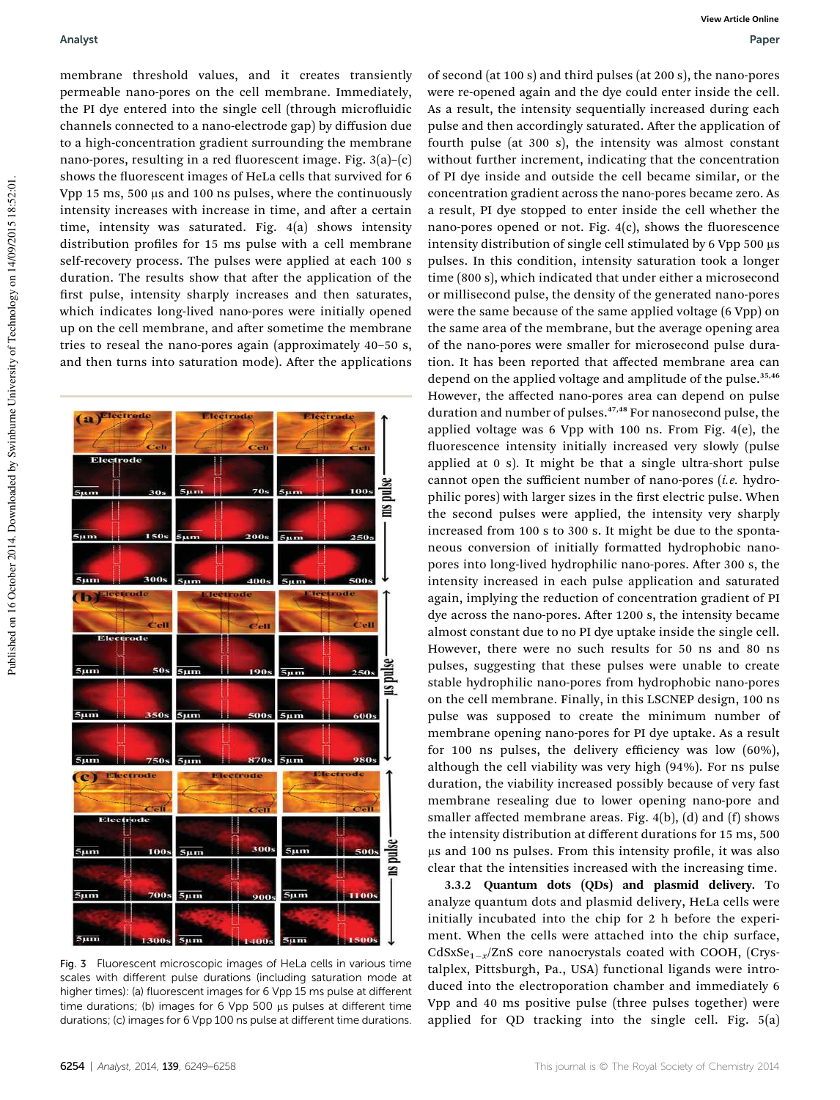membrane threshold values, and it creates transiently permeable nano-pores on the cell membrane. Immediately, the PI dye entered into the single cell (through microfluidic channels connected to a nano-electrode gap) by diffusion due to a high-concentration gradient surrounding the membrane nano-pores, resulting in a red fluorescent image. Fig.  $3(a)$ – $(c)$ shows the fluorescent images of HeLa cells that survived for 6 Vpp 15 ms,  $500 \mu s$  and 100 ns pulses, where the continuously intensity increases with increase in time, and after a certain time, intensity was saturated. Fig. 4(a) shows intensity distribution profiles for 15 ms pulse with a cell membrane self-recovery process. The pulses were applied at each 100 s duration. The results show that after the application of the first pulse, intensity sharply increases and then saturates, which indicates long-lived nano-pores were initially opened up on the cell membrane, and after sometime the membrane tries to reseal the nano-pores again (approximately 40–50 s, and then turns into saturation mode). After the applications



Fig. 3 Fluorescent microscopic images of HeLa cells in various time scales with different pulse durations (including saturation mode at higher times): (a) fluorescent images for 6 Vpp 15 ms pulse at different time durations; (b) images for 6 Vpp 500 µs pulses at different time durations; (c) images for 6 Vpp 100 ns pulse at different time durations.

of second (at 100 s) and third pulses (at 200 s), the nano-pores were re-opened again and the dye could enter inside the cell. As a result, the intensity sequentially increased during each pulse and then accordingly saturated. After the application of fourth pulse (at 300 s), the intensity was almost constant without further increment, indicating that the concentration of PI dye inside and outside the cell became similar, or the concentration gradient across the nano-pores became zero. As a result, PI dye stopped to enter inside the cell whether the nano-pores opened or not. Fig.  $4(c)$ , shows the fluorescence intensity distribution of single cell stimulated by  $6 Vpp 500 \mu s$ pulses. In this condition, intensity saturation took a longer time (800 s), which indicated that under either a microsecond or millisecond pulse, the density of the generated nano-pores were the same because of the same applied voltage (6 Vpp) on the same area of the membrane, but the average opening area of the nano-pores were smaller for microsecond pulse duration. It has been reported that affected membrane area can depend on the applied voltage and amplitude of the pulse.<sup>35,46</sup> However, the affected nano-pores area can depend on pulse duration and number of pulses.<sup>47,48</sup> For nanosecond pulse, the applied voltage was 6 Vpp with 100 ns. From Fig. 4(e), the fluorescence intensity initially increased very slowly (pulse applied at 0 s). It might be that a single ultra-short pulse cannot open the sufficient number of nano-pores (*i.e.* hydrophilic pores) with larger sizes in the first electric pulse. When the second pulses were applied, the intensity very sharply increased from 100 s to 300 s. It might be due to the spontaneous conversion of initially formatted hydrophobic nanopores into long-lived hydrophilic nano-pores. After 300 s, the intensity increased in each pulse application and saturated again, implying the reduction of concentration gradient of PI dye across the nano-pores. After 1200 s, the intensity became almost constant due to no PI dye uptake inside the single cell. However, there were no such results for 50 ns and 80 ns pulses, suggesting that these pulses were unable to create stable hydrophilic nano-pores from hydrophobic nano-pores on the cell membrane. Finally, in this LSCNEP design, 100 ns pulse was supposed to create the minimum number of membrane opening nano-pores for PI dye uptake. As a result for 100 ns pulses, the delivery efficiency was low (60%), although the cell viability was very high (94%). For ns pulse duration, the viability increased possibly because of very fast membrane resealing due to lower opening nano-pore and smaller affected membrane areas. Fig. 4(b), (d) and (f) shows the intensity distribution at different durations for 15 ms, 500 µs and 100 ns pulses. From this intensity profile, it was also clear that the intensities increased with the increasing time.

3.3.2 Quantum dots (QDs) and plasmid delivery. To analyze quantum dots and plasmid delivery, HeLa cells were initially incubated into the chip for 2 h before the experiment. When the cells were attached into the chip surface, CdSxSe<sub>1-x</sub>/ZnS core nanocrystals coated with COOH, (Crystalplex, Pittsburgh, Pa., USA) functional ligands were introduced into the electroporation chamber and immediately 6 Vpp and 40 ms positive pulse (three pulses together) were applied for QD tracking into the single cell. Fig. 5(a)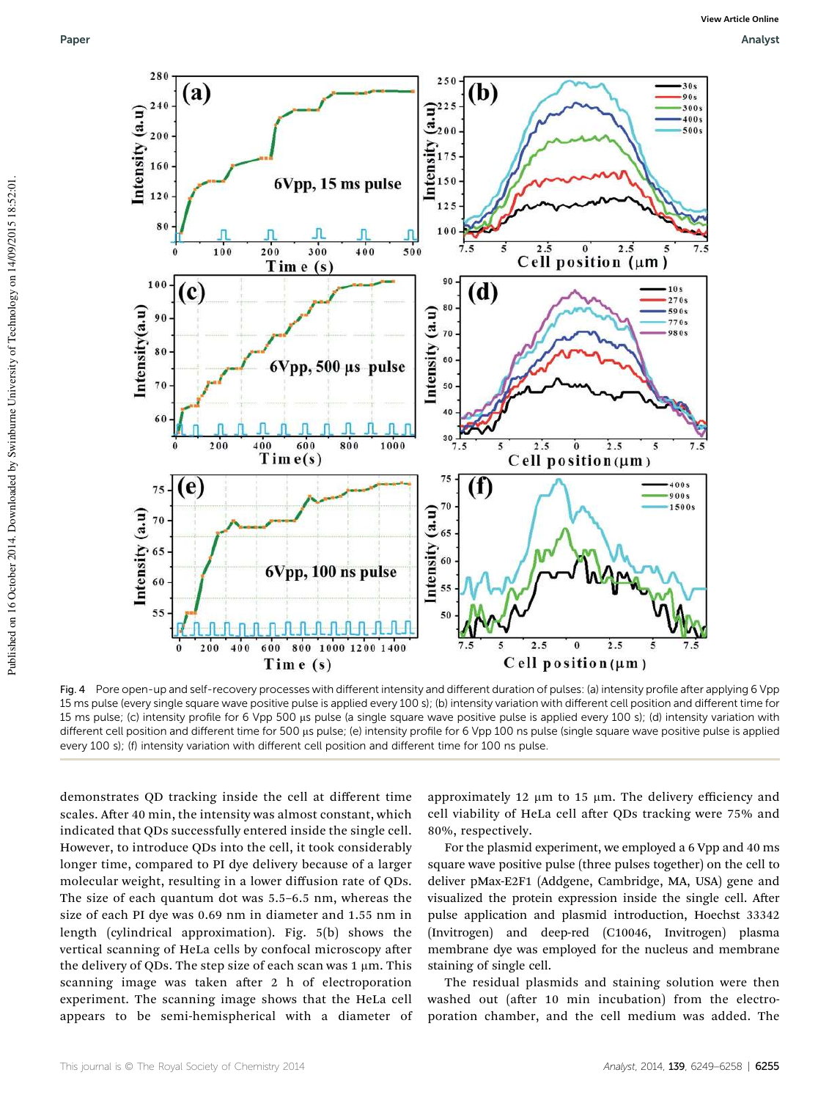

Fig. 4 Pore open-up and self-recovery processes with different intensity and different duration of pulses: (a) intensity profile after applying 6 Vpp 15 ms pulse (every single square wave positive pulse is applied every 100 s); (b) intensity variation with different cell position and different time for 15 ms pulse; (c) intensity profile for 6 Vpp 500 µs pulse (a single square wave positive pulse is applied every 100 s); (d) intensity variation with different cell position and different time for 500 µs pulse; (e) intensity profile for 6 Vpp 100 ns pulse (single square wave positive pulse is applied every 100 s); (f) intensity variation with different cell position and different time for 100 ns pulse.

demonstrates QD tracking inside the cell at different time scales. After 40 min, the intensity was almost constant, which indicated that QDs successfully entered inside the single cell. However, to introduce QDs into the cell, it took considerably longer time, compared to PI dye delivery because of a larger molecular weight, resulting in a lower diffusion rate of QDs. The size of each quantum dot was 5.5–6.5 nm, whereas the size of each PI dye was 0.69 nm in diameter and 1.55 nm in length (cylindrical approximation). Fig. 5(b) shows the vertical scanning of HeLa cells by confocal microscopy after the delivery of QDs. The step size of each scan was  $1 \mu m$ . This scanning image was taken after 2 h of electroporation experiment. The scanning image shows that the HeLa cell appears to be semi-hemispherical with a diameter of approximately 12  $\mu$ m to 15  $\mu$ m. The delivery efficiency and cell viability of HeLa cell after QDs tracking were 75% and 80%, respectively.

For the plasmid experiment, we employed a 6 Vpp and 40 ms square wave positive pulse (three pulses together) on the cell to deliver pMax-E2F1 (Addgene, Cambridge, MA, USA) gene and visualized the protein expression inside the single cell. After pulse application and plasmid introduction, Hoechst 33342 (Invitrogen) and deep-red (C10046, Invitrogen) plasma membrane dye was employed for the nucleus and membrane staining of single cell.

The residual plasmids and staining solution were then washed out (after 10 min incubation) from the electroporation chamber, and the cell medium was added. The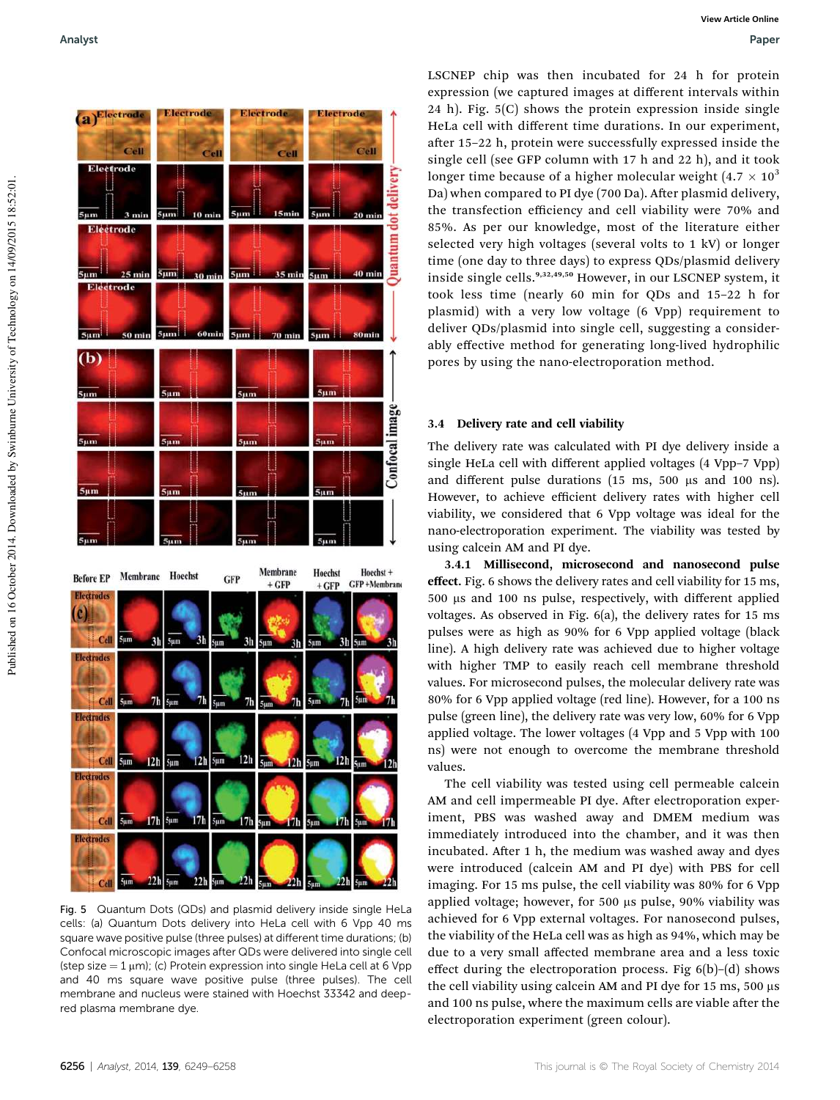

Fig. 5 Quantum Dots (QDs) and plasmid delivery inside single HeLa cells: (a) Quantum Dots delivery into HeLa cell with 6 Vpp 40 ms square wave positive pulse (three pulses) at different time durations; (b) Confocal microscopic images after QDs were delivered into single cell (step size  $=$  1  $\mu$ m); (c) Protein expression into single HeLa cell at 6 Vpp and 40 ms square wave positive pulse (three pulses). The cell membrane and nucleus were stained with Hoechst 33342 and deepred plasma membrane dye.

LSCNEP chip was then incubated for 24 h for protein expression (we captured images at different intervals within 24 h). Fig. 5(C) shows the protein expression inside single HeLa cell with different time durations. In our experiment, after 15-22 h, protein were successfully expressed inside the single cell (see GFP column with 17 h and 22 h), and it took longer time because of a higher molecular weight  $(4.7 \times 10^3)$ Da) when compared to PI dye (700 Da). After plasmid delivery, the transfection efficiency and cell viability were 70% and 85%. As per our knowledge, most of the literature either selected very high voltages (several volts to 1 kV) or longer time (one day to three days) to express QDs/plasmid delivery inside single cells.<sup>9,32,49,50</sup> However, in our LSCNEP system, it took less time (nearly 60 min for QDs and 15–22 h for plasmid) with a very low voltage (6 Vpp) requirement to deliver QDs/plasmid into single cell, suggesting a considerably effective method for generating long-lived hydrophilic pores by using the nano-electroporation method.

### 3.4 Delivery rate and cell viability

The delivery rate was calculated with PI dye delivery inside a single HeLa cell with different applied voltages (4 Vpp–7 Vpp) and different pulse durations (15 ms, 500  $\mu$ s and 100 ns). However, to achieve efficient delivery rates with higher cell viability, we considered that 6 Vpp voltage was ideal for the nano-electroporation experiment. The viability was tested by using calcein AM and PI dye.

3.4.1 Millisecond, microsecond and nanosecond pulse effect. Fig. 6 shows the delivery rates and cell viability for 15 ms, 500 ms and 100 ns pulse, respectively, with different applied voltages. As observed in Fig. 6(a), the delivery rates for 15 ms pulses were as high as 90% for 6 Vpp applied voltage (black line). A high delivery rate was achieved due to higher voltage with higher TMP to easily reach cell membrane threshold values. For microsecond pulses, the molecular delivery rate was 80% for 6 Vpp applied voltage (red line). However, for a 100 ns pulse (green line), the delivery rate was very low, 60% for 6 Vpp applied voltage. The lower voltages (4 Vpp and 5 Vpp with 100 ns) were not enough to overcome the membrane threshold values.

The cell viability was tested using cell permeable calcein AM and cell impermeable PI dye. After electroporation experiment, PBS was washed away and DMEM medium was immediately introduced into the chamber, and it was then incubated. After 1 h, the medium was washed away and dyes were introduced (calcein AM and PI dye) with PBS for cell imaging. For 15 ms pulse, the cell viability was 80% for 6 Vpp applied voltage; however, for 500 µs pulse, 90% viability was achieved for 6 Vpp external voltages. For nanosecond pulses, the viability of the HeLa cell was as high as 94%, which may be due to a very small affected membrane area and a less toxic effect during the electroporation process. Fig 6(b)–(d) shows the cell viability using calcein AM and PI dye for  $15 \text{ ms}$ ,  $500 \text{ }\mu\text{s}$ and 100 ns pulse, where the maximum cells are viable after the electroporation experiment (green colour).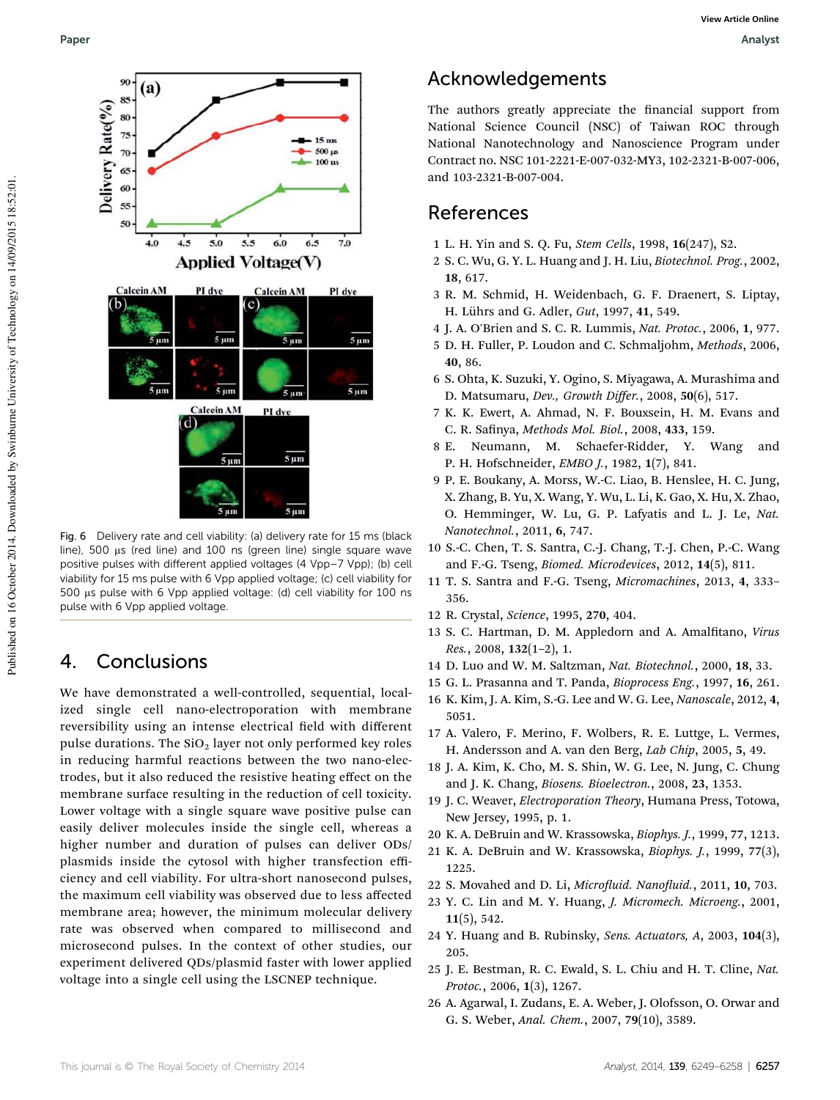

Fig. 6 Delivery rate and cell viability: (a) delivery rate for 15 ms (black line), 500 µs (red line) and 100 ns (green line) single square wave positive pulses with different applied voltages (4 Vpp–7 Vpp); (b) cell viability for 15 ms pulse with 6 Vpp applied voltage; (c) cell viability for 500 µs pulse with 6 Vpp applied voltage: (d) cell viability for 100 ns pulse with 6 Vpp applied voltage.

# 4. Conclusions

We have demonstrated a well-controlled, sequential, localized single cell nano-electroporation with membrane reversibility using an intense electrical field with different pulse durations. The  $SiO<sub>2</sub>$  layer not only performed key roles in reducing harmful reactions between the two nano-electrodes, but it also reduced the resistive heating effect on the membrane surface resulting in the reduction of cell toxicity. Lower voltage with a single square wave positive pulse can easily deliver molecules inside the single cell, whereas a higher number and duration of pulses can deliver ODs/ plasmids inside the cytosol with higher transfection efficiency and cell viability. For ultra-short nanosecond pulses, the maximum cell viability was observed due to less affected membrane area; however, the minimum molecular delivery rate was observed when compared to millisecond and microsecond pulses. In the context of other studies, our experiment delivered QDs/plasmid faster with lower applied voltage into a single cell using the LSCNEP technique.

## Acknowledgements

The authors greatly appreciate the financial support from National Science Council (NSC) of Taiwan ROC through National Nanotechnology and Nanoscience Program under Contract no. NSC 101-2221-E-007-032-MY3, 102-2321-B-007-006, and 103-2321-B-007-004.

### References

- 1 L. H. Yin and S. Q. Fu, *Stem Cells*, 1998, 16(247), S2.
- 2 S. C. Wu, G. Y. L. Huang and J. H. Liu, *Biotechnol. Prog.*, 2002, 18, 617.
- 3 R. M. Schmid, H. Weidenbach, G. F. Draenert, S. Liptay, H. Lührs and G. Adler, *Gut*, 1997, 41, 549.
- 4 J. A. O'Brien and S. C. R. Lummis, *Nat. Protoc.*, 2006, 1, 977.
- 5 D. H. Fuller, P. Loudon and C. Schmaljohm, *Methods*, 2006, 40, 86.
- 6 S. Ohta, K. Suzuki, Y. Ogino, S. Miyagawa, A. Murashima and D. Matsumaru, *Dev., Growth Di*ff*er.*, 2008, 50(6), 517.
- 7 K. K. Ewert, A. Ahmad, N. F. Bouxsein, H. M. Evans and C. R. Sanya, *Methods Mol. Biol.*, 2008, 433, 159.
- 8 E. Neumann, M. Schaefer-Ridder, Y. Wang and P. H. Hofschneider, *EMBO J.*, 1982, 1(7), 841.
- 9 P. E. Boukany, A. Morss, W.-C. Liao, B. Henslee, H. C. Jung, X. Zhang, B. Yu, X. Wang, Y. Wu, L. Li, K. Gao, X. Hu, X. Zhao, O. Hemminger, W. Lu, G. P. Lafyatis and L. J. Le, *Nat. Nanotechnol.*, 2011, 6, 747.
- 10 S.-C. Chen, T. S. Santra, C.-J. Chang, T.-J. Chen, P.-C. Wang and F.-G. Tseng, *Biomed. Microdevices*, 2012, 14(5), 811.
- 11 T. S. Santra and F.-G. Tseng, *Micromachines*, 2013, 4, 333– 356.
- 12 R. Crystal, *Science*, 1995, 270, 404.
- 13 S. C. Hartman, D. M. Appledorn and A. Amalfitano, *Virus Res.*, 2008, 132(1–2), 1.
- 14 D. Luo and W. M. Saltzman, *Nat. Biotechnol.*, 2000, 18, 33.
- 15 G. L. Prasanna and T. Panda, *Bioprocess Eng.*, 1997, 16, 261.
- 16 K. Kim, J. A. Kim, S.-G. Lee and W. G. Lee, *Nanoscale*, 2012, 4, 5051.
- 17 A. Valero, F. Merino, F. Wolbers, R. E. Luttge, L. Vermes, H. Andersson and A. van den Berg, *Lab Chip*, 2005, 5, 49.
- 18 J. A. Kim, K. Cho, M. S. Shin, W. G. Lee, N. Jung, C. Chung and J. K. Chang, *Biosens. Bioelectron.*, 2008, 23, 1353.
- 19 J. C. Weaver, *Electroporation Theory*, Humana Press, Totowa, New Jersey, 1995, p. 1.
- 20 K. A. DeBruin and W. Krassowska, *Biophys. J.*, 1999, 77, 1213.
- 21 K. A. DeBruin and W. Krassowska, *Biophys. J.*, 1999, 77(3), 1225.
- 22 S. Movahed and D. Li, *Microuid. Nanouid.*, 2011, 10, 703.
- 23 Y. C. Lin and M. Y. Huang, *J. Micromech. Microeng.*, 2001,  $11(5)$ , 542.
- 24 Y. Huang and B. Rubinsky, *Sens. Actuators, A*, 2003, 104(3), 205.
- 25 J. E. Bestman, R. C. Ewald, S. L. Chiu and H. T. Cline, *Nat. Protoc.*, 2006, 1(3), 1267.
- 26 A. Agarwal, I. Zudans, E. A. Weber, J. Olofsson, O. Orwar and G. S. Weber, *Anal. Chem.*, 2007, 79(10), 3589.